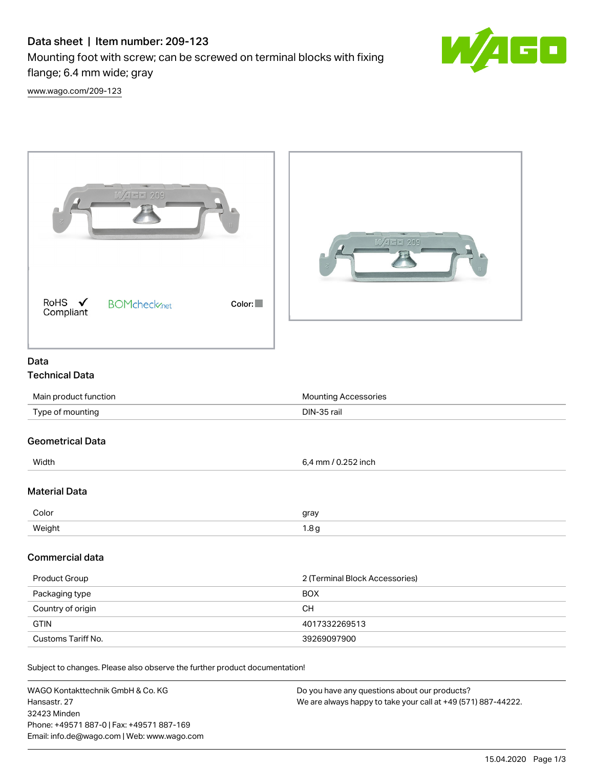## Data sheet | Item number: 209-123

Mounting foot with screw; can be screwed on terminal blocks with fixing flange; 6.4 mm wide; gray



[www.wago.com/209-123](http://www.wago.com/209-123)

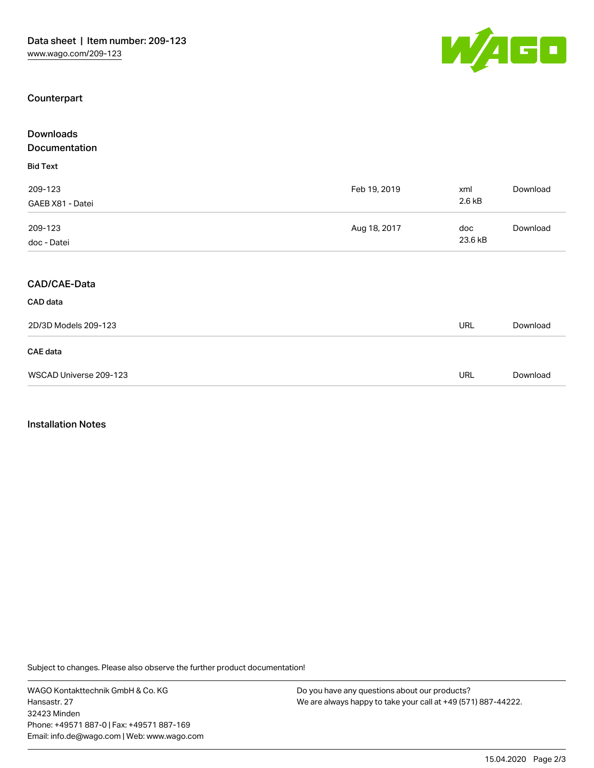

## Counterpart

| <b>Downloads</b>       |              |            |          |
|------------------------|--------------|------------|----------|
| Documentation          |              |            |          |
| <b>Bid Text</b>        |              |            |          |
| 209-123                | Feb 19, 2019 | xml        | Download |
| GAEB X81 - Datei       |              | 2.6 kB     |          |
| 209-123                | Aug 18, 2017 | doc        | Download |
| doc - Datei            |              | 23.6 kB    |          |
| CAD/CAE-Data           |              |            |          |
|                        |              |            |          |
| CAD data               |              |            |          |
| 2D/3D Models 209-123   |              | <b>URL</b> | Download |
| CAE data               |              |            |          |
| WSCAD Universe 209-123 |              | <b>URL</b> | Download |

## Installation Notes

Subject to changes. Please also observe the further product documentation!

WAGO Kontakttechnik GmbH & Co. KG Hansastr. 27 32423 Minden Phone: +49571 887-0 | Fax: +49571 887-169 Email: info.de@wago.com | Web: www.wago.com

Do you have any questions about our products? We are always happy to take your call at +49 (571) 887-44222.